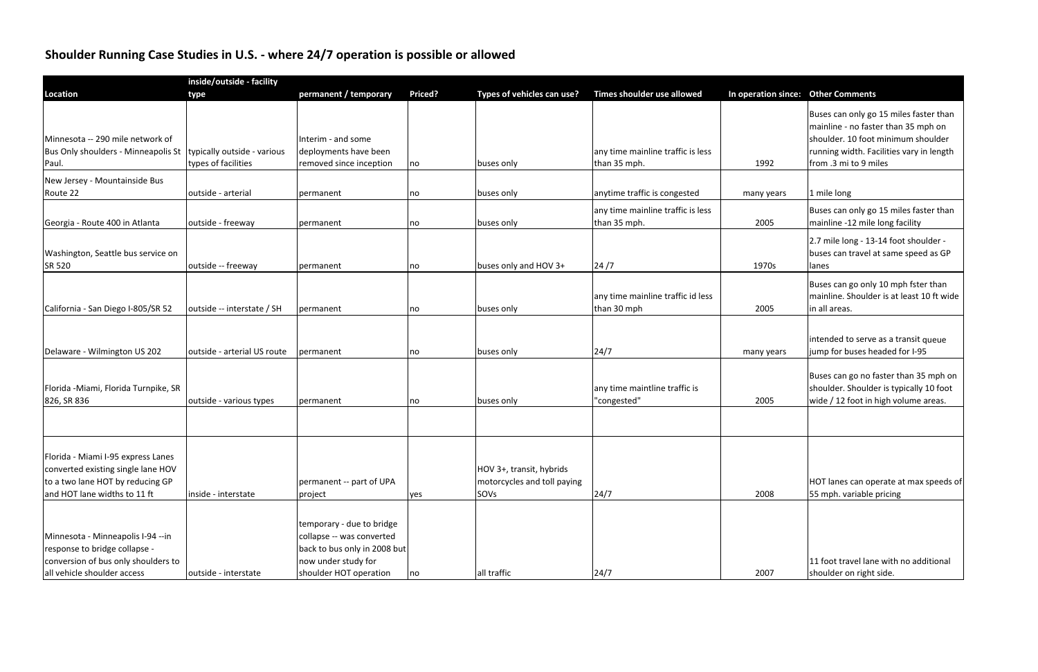## **Shoulder Running Case Studies in U.S. ‐ where 24/7 operation is possible or allowed**

| Priced?<br>permanent / temporary<br>Types of vehicles can use?<br>Times shoulder use allowed<br>In operation since: Other Comments<br>type<br>Buses can only go 15 miles faster than<br>mainline - no faster than 35 mph on<br>Minnesota -- 290 mile network of<br>Interim - and some<br>shoulder. 10 foot minimum shoulder<br>deployments have been<br>running width. Facilities vary in length<br>Bus Only shoulders - Minneapolis St<br>typically outside - various<br>any time mainline traffic is less<br>from .3 mi to 9 miles<br>types of facilities<br>removed since inception<br>than 35 mph.<br>1992<br>Paul.<br>buses only<br>no<br>New Jersey - Mountainside Bus<br>anytime traffic is congested<br>Route 22<br>outside - arterial<br>1 mile long<br>buses only<br>permanent<br>many years<br>no<br>Buses can only go 15 miles faster than<br>any time mainline traffic is less<br>2005<br>mainline -12 mile long facility<br>outside - freeway<br>than 35 mph.<br>Georgia - Route 400 in Atlanta<br>buses only<br>permanent<br>no<br>2.7 mile long - 13-14 foot shoulder -<br>buses can travel at same speed as GP<br>outside -- freeway<br>buses only and HOV 3+<br>24/7<br>1970s<br>permanent<br>lanes<br>no<br>Buses can go only 10 mph fster than<br>mainline. Shoulder is at least 10 ft wide<br>any time mainline traffic id less<br>outside -- interstate / SH<br>than 30 mph<br>2005<br>in all areas.<br>California - San Diego I-805/SR 52<br>buses only<br>permanent<br>no<br>intended to serve as a transit queue<br>outside - arterial US route<br>Delaware - Wilmington US 202<br>24/7<br>jump for buses headed for I-95<br>permanent<br>buses only<br>many years<br>no<br>Buses can go no faster than 35 mph on<br>shoulder. Shoulder is typically 10 foot<br>any time maintline traffic is<br>2005<br>wide / 12 foot in high volume areas.<br>"congested"<br>outside - various types<br>permanent<br>buses only<br>no<br>Florida - Miami I-95 express Lanes<br>HOV 3+, transit, hybrids<br>converted existing single lane HOV<br>to a two lane HOT by reducing GP<br>permanent -- part of UPA<br>HOT lanes can operate at max speeds of<br>motorcycles and toll paying<br>24/7<br>and HOT lane widths to 11 ft<br>2008<br>inside - interstate<br>SOVs<br>55 mph. variable pricing<br>project<br>yes<br>temporary - due to bridge<br>Minnesota - Minneapolis I-94 -- in<br>collapse -- was converted | inside/outside - facility             |  |  |  |  |  |  |  |  |  |  |
|---------------------------------------------------------------------------------------------------------------------------------------------------------------------------------------------------------------------------------------------------------------------------------------------------------------------------------------------------------------------------------------------------------------------------------------------------------------------------------------------------------------------------------------------------------------------------------------------------------------------------------------------------------------------------------------------------------------------------------------------------------------------------------------------------------------------------------------------------------------------------------------------------------------------------------------------------------------------------------------------------------------------------------------------------------------------------------------------------------------------------------------------------------------------------------------------------------------------------------------------------------------------------------------------------------------------------------------------------------------------------------------------------------------------------------------------------------------------------------------------------------------------------------------------------------------------------------------------------------------------------------------------------------------------------------------------------------------------------------------------------------------------------------------------------------------------------------------------------------------------------------------------------------------------------------------------------------------------------------------------------------------------------------------------------------------------------------------------------------------------------------------------------------------------------------------------------------------------------------------------------------------------------------------------------------------------------------------------------------------------------------------------------------------------------------|---------------------------------------|--|--|--|--|--|--|--|--|--|--|
|                                                                                                                                                                                                                                                                                                                                                                                                                                                                                                                                                                                                                                                                                                                                                                                                                                                                                                                                                                                                                                                                                                                                                                                                                                                                                                                                                                                                                                                                                                                                                                                                                                                                                                                                                                                                                                                                                                                                                                                                                                                                                                                                                                                                                                                                                                                                                                                                                                 | <b>Location</b>                       |  |  |  |  |  |  |  |  |  |  |
|                                                                                                                                                                                                                                                                                                                                                                                                                                                                                                                                                                                                                                                                                                                                                                                                                                                                                                                                                                                                                                                                                                                                                                                                                                                                                                                                                                                                                                                                                                                                                                                                                                                                                                                                                                                                                                                                                                                                                                                                                                                                                                                                                                                                                                                                                                                                                                                                                                 |                                       |  |  |  |  |  |  |  |  |  |  |
|                                                                                                                                                                                                                                                                                                                                                                                                                                                                                                                                                                                                                                                                                                                                                                                                                                                                                                                                                                                                                                                                                                                                                                                                                                                                                                                                                                                                                                                                                                                                                                                                                                                                                                                                                                                                                                                                                                                                                                                                                                                                                                                                                                                                                                                                                                                                                                                                                                 |                                       |  |  |  |  |  |  |  |  |  |  |
|                                                                                                                                                                                                                                                                                                                                                                                                                                                                                                                                                                                                                                                                                                                                                                                                                                                                                                                                                                                                                                                                                                                                                                                                                                                                                                                                                                                                                                                                                                                                                                                                                                                                                                                                                                                                                                                                                                                                                                                                                                                                                                                                                                                                                                                                                                                                                                                                                                 |                                       |  |  |  |  |  |  |  |  |  |  |
|                                                                                                                                                                                                                                                                                                                                                                                                                                                                                                                                                                                                                                                                                                                                                                                                                                                                                                                                                                                                                                                                                                                                                                                                                                                                                                                                                                                                                                                                                                                                                                                                                                                                                                                                                                                                                                                                                                                                                                                                                                                                                                                                                                                                                                                                                                                                                                                                                                 |                                       |  |  |  |  |  |  |  |  |  |  |
|                                                                                                                                                                                                                                                                                                                                                                                                                                                                                                                                                                                                                                                                                                                                                                                                                                                                                                                                                                                                                                                                                                                                                                                                                                                                                                                                                                                                                                                                                                                                                                                                                                                                                                                                                                                                                                                                                                                                                                                                                                                                                                                                                                                                                                                                                                                                                                                                                                 |                                       |  |  |  |  |  |  |  |  |  |  |
|                                                                                                                                                                                                                                                                                                                                                                                                                                                                                                                                                                                                                                                                                                                                                                                                                                                                                                                                                                                                                                                                                                                                                                                                                                                                                                                                                                                                                                                                                                                                                                                                                                                                                                                                                                                                                                                                                                                                                                                                                                                                                                                                                                                                                                                                                                                                                                                                                                 |                                       |  |  |  |  |  |  |  |  |  |  |
|                                                                                                                                                                                                                                                                                                                                                                                                                                                                                                                                                                                                                                                                                                                                                                                                                                                                                                                                                                                                                                                                                                                                                                                                                                                                                                                                                                                                                                                                                                                                                                                                                                                                                                                                                                                                                                                                                                                                                                                                                                                                                                                                                                                                                                                                                                                                                                                                                                 |                                       |  |  |  |  |  |  |  |  |  |  |
|                                                                                                                                                                                                                                                                                                                                                                                                                                                                                                                                                                                                                                                                                                                                                                                                                                                                                                                                                                                                                                                                                                                                                                                                                                                                                                                                                                                                                                                                                                                                                                                                                                                                                                                                                                                                                                                                                                                                                                                                                                                                                                                                                                                                                                                                                                                                                                                                                                 |                                       |  |  |  |  |  |  |  |  |  |  |
|                                                                                                                                                                                                                                                                                                                                                                                                                                                                                                                                                                                                                                                                                                                                                                                                                                                                                                                                                                                                                                                                                                                                                                                                                                                                                                                                                                                                                                                                                                                                                                                                                                                                                                                                                                                                                                                                                                                                                                                                                                                                                                                                                                                                                                                                                                                                                                                                                                 |                                       |  |  |  |  |  |  |  |  |  |  |
|                                                                                                                                                                                                                                                                                                                                                                                                                                                                                                                                                                                                                                                                                                                                                                                                                                                                                                                                                                                                                                                                                                                                                                                                                                                                                                                                                                                                                                                                                                                                                                                                                                                                                                                                                                                                                                                                                                                                                                                                                                                                                                                                                                                                                                                                                                                                                                                                                                 |                                       |  |  |  |  |  |  |  |  |  |  |
|                                                                                                                                                                                                                                                                                                                                                                                                                                                                                                                                                                                                                                                                                                                                                                                                                                                                                                                                                                                                                                                                                                                                                                                                                                                                                                                                                                                                                                                                                                                                                                                                                                                                                                                                                                                                                                                                                                                                                                                                                                                                                                                                                                                                                                                                                                                                                                                                                                 |                                       |  |  |  |  |  |  |  |  |  |  |
|                                                                                                                                                                                                                                                                                                                                                                                                                                                                                                                                                                                                                                                                                                                                                                                                                                                                                                                                                                                                                                                                                                                                                                                                                                                                                                                                                                                                                                                                                                                                                                                                                                                                                                                                                                                                                                                                                                                                                                                                                                                                                                                                                                                                                                                                                                                                                                                                                                 | Washington, Seattle bus service on    |  |  |  |  |  |  |  |  |  |  |
|                                                                                                                                                                                                                                                                                                                                                                                                                                                                                                                                                                                                                                                                                                                                                                                                                                                                                                                                                                                                                                                                                                                                                                                                                                                                                                                                                                                                                                                                                                                                                                                                                                                                                                                                                                                                                                                                                                                                                                                                                                                                                                                                                                                                                                                                                                                                                                                                                                 | <b>SR 520</b>                         |  |  |  |  |  |  |  |  |  |  |
|                                                                                                                                                                                                                                                                                                                                                                                                                                                                                                                                                                                                                                                                                                                                                                                                                                                                                                                                                                                                                                                                                                                                                                                                                                                                                                                                                                                                                                                                                                                                                                                                                                                                                                                                                                                                                                                                                                                                                                                                                                                                                                                                                                                                                                                                                                                                                                                                                                 |                                       |  |  |  |  |  |  |  |  |  |  |
|                                                                                                                                                                                                                                                                                                                                                                                                                                                                                                                                                                                                                                                                                                                                                                                                                                                                                                                                                                                                                                                                                                                                                                                                                                                                                                                                                                                                                                                                                                                                                                                                                                                                                                                                                                                                                                                                                                                                                                                                                                                                                                                                                                                                                                                                                                                                                                                                                                 |                                       |  |  |  |  |  |  |  |  |  |  |
|                                                                                                                                                                                                                                                                                                                                                                                                                                                                                                                                                                                                                                                                                                                                                                                                                                                                                                                                                                                                                                                                                                                                                                                                                                                                                                                                                                                                                                                                                                                                                                                                                                                                                                                                                                                                                                                                                                                                                                                                                                                                                                                                                                                                                                                                                                                                                                                                                                 |                                       |  |  |  |  |  |  |  |  |  |  |
|                                                                                                                                                                                                                                                                                                                                                                                                                                                                                                                                                                                                                                                                                                                                                                                                                                                                                                                                                                                                                                                                                                                                                                                                                                                                                                                                                                                                                                                                                                                                                                                                                                                                                                                                                                                                                                                                                                                                                                                                                                                                                                                                                                                                                                                                                                                                                                                                                                 |                                       |  |  |  |  |  |  |  |  |  |  |
|                                                                                                                                                                                                                                                                                                                                                                                                                                                                                                                                                                                                                                                                                                                                                                                                                                                                                                                                                                                                                                                                                                                                                                                                                                                                                                                                                                                                                                                                                                                                                                                                                                                                                                                                                                                                                                                                                                                                                                                                                                                                                                                                                                                                                                                                                                                                                                                                                                 |                                       |  |  |  |  |  |  |  |  |  |  |
|                                                                                                                                                                                                                                                                                                                                                                                                                                                                                                                                                                                                                                                                                                                                                                                                                                                                                                                                                                                                                                                                                                                                                                                                                                                                                                                                                                                                                                                                                                                                                                                                                                                                                                                                                                                                                                                                                                                                                                                                                                                                                                                                                                                                                                                                                                                                                                                                                                 |                                       |  |  |  |  |  |  |  |  |  |  |
|                                                                                                                                                                                                                                                                                                                                                                                                                                                                                                                                                                                                                                                                                                                                                                                                                                                                                                                                                                                                                                                                                                                                                                                                                                                                                                                                                                                                                                                                                                                                                                                                                                                                                                                                                                                                                                                                                                                                                                                                                                                                                                                                                                                                                                                                                                                                                                                                                                 |                                       |  |  |  |  |  |  |  |  |  |  |
|                                                                                                                                                                                                                                                                                                                                                                                                                                                                                                                                                                                                                                                                                                                                                                                                                                                                                                                                                                                                                                                                                                                                                                                                                                                                                                                                                                                                                                                                                                                                                                                                                                                                                                                                                                                                                                                                                                                                                                                                                                                                                                                                                                                                                                                                                                                                                                                                                                 |                                       |  |  |  |  |  |  |  |  |  |  |
|                                                                                                                                                                                                                                                                                                                                                                                                                                                                                                                                                                                                                                                                                                                                                                                                                                                                                                                                                                                                                                                                                                                                                                                                                                                                                                                                                                                                                                                                                                                                                                                                                                                                                                                                                                                                                                                                                                                                                                                                                                                                                                                                                                                                                                                                                                                                                                                                                                 | Florida - Miami, Florida Turnpike, SR |  |  |  |  |  |  |  |  |  |  |
|                                                                                                                                                                                                                                                                                                                                                                                                                                                                                                                                                                                                                                                                                                                                                                                                                                                                                                                                                                                                                                                                                                                                                                                                                                                                                                                                                                                                                                                                                                                                                                                                                                                                                                                                                                                                                                                                                                                                                                                                                                                                                                                                                                                                                                                                                                                                                                                                                                 | 826, SR 836                           |  |  |  |  |  |  |  |  |  |  |
|                                                                                                                                                                                                                                                                                                                                                                                                                                                                                                                                                                                                                                                                                                                                                                                                                                                                                                                                                                                                                                                                                                                                                                                                                                                                                                                                                                                                                                                                                                                                                                                                                                                                                                                                                                                                                                                                                                                                                                                                                                                                                                                                                                                                                                                                                                                                                                                                                                 |                                       |  |  |  |  |  |  |  |  |  |  |
|                                                                                                                                                                                                                                                                                                                                                                                                                                                                                                                                                                                                                                                                                                                                                                                                                                                                                                                                                                                                                                                                                                                                                                                                                                                                                                                                                                                                                                                                                                                                                                                                                                                                                                                                                                                                                                                                                                                                                                                                                                                                                                                                                                                                                                                                                                                                                                                                                                 |                                       |  |  |  |  |  |  |  |  |  |  |
|                                                                                                                                                                                                                                                                                                                                                                                                                                                                                                                                                                                                                                                                                                                                                                                                                                                                                                                                                                                                                                                                                                                                                                                                                                                                                                                                                                                                                                                                                                                                                                                                                                                                                                                                                                                                                                                                                                                                                                                                                                                                                                                                                                                                                                                                                                                                                                                                                                 |                                       |  |  |  |  |  |  |  |  |  |  |
|                                                                                                                                                                                                                                                                                                                                                                                                                                                                                                                                                                                                                                                                                                                                                                                                                                                                                                                                                                                                                                                                                                                                                                                                                                                                                                                                                                                                                                                                                                                                                                                                                                                                                                                                                                                                                                                                                                                                                                                                                                                                                                                                                                                                                                                                                                                                                                                                                                 |                                       |  |  |  |  |  |  |  |  |  |  |
|                                                                                                                                                                                                                                                                                                                                                                                                                                                                                                                                                                                                                                                                                                                                                                                                                                                                                                                                                                                                                                                                                                                                                                                                                                                                                                                                                                                                                                                                                                                                                                                                                                                                                                                                                                                                                                                                                                                                                                                                                                                                                                                                                                                                                                                                                                                                                                                                                                 |                                       |  |  |  |  |  |  |  |  |  |  |
|                                                                                                                                                                                                                                                                                                                                                                                                                                                                                                                                                                                                                                                                                                                                                                                                                                                                                                                                                                                                                                                                                                                                                                                                                                                                                                                                                                                                                                                                                                                                                                                                                                                                                                                                                                                                                                                                                                                                                                                                                                                                                                                                                                                                                                                                                                                                                                                                                                 |                                       |  |  |  |  |  |  |  |  |  |  |
|                                                                                                                                                                                                                                                                                                                                                                                                                                                                                                                                                                                                                                                                                                                                                                                                                                                                                                                                                                                                                                                                                                                                                                                                                                                                                                                                                                                                                                                                                                                                                                                                                                                                                                                                                                                                                                                                                                                                                                                                                                                                                                                                                                                                                                                                                                                                                                                                                                 |                                       |  |  |  |  |  |  |  |  |  |  |
|                                                                                                                                                                                                                                                                                                                                                                                                                                                                                                                                                                                                                                                                                                                                                                                                                                                                                                                                                                                                                                                                                                                                                                                                                                                                                                                                                                                                                                                                                                                                                                                                                                                                                                                                                                                                                                                                                                                                                                                                                                                                                                                                                                                                                                                                                                                                                                                                                                 |                                       |  |  |  |  |  |  |  |  |  |  |
|                                                                                                                                                                                                                                                                                                                                                                                                                                                                                                                                                                                                                                                                                                                                                                                                                                                                                                                                                                                                                                                                                                                                                                                                                                                                                                                                                                                                                                                                                                                                                                                                                                                                                                                                                                                                                                                                                                                                                                                                                                                                                                                                                                                                                                                                                                                                                                                                                                 |                                       |  |  |  |  |  |  |  |  |  |  |
| response to bridge collapse -<br>back to bus only in 2008 but                                                                                                                                                                                                                                                                                                                                                                                                                                                                                                                                                                                                                                                                                                                                                                                                                                                                                                                                                                                                                                                                                                                                                                                                                                                                                                                                                                                                                                                                                                                                                                                                                                                                                                                                                                                                                                                                                                                                                                                                                                                                                                                                                                                                                                                                                                                                                                   |                                       |  |  |  |  |  |  |  |  |  |  |
| conversion of bus only shoulders to<br>now under study for<br>11 foot travel lane with no additional                                                                                                                                                                                                                                                                                                                                                                                                                                                                                                                                                                                                                                                                                                                                                                                                                                                                                                                                                                                                                                                                                                                                                                                                                                                                                                                                                                                                                                                                                                                                                                                                                                                                                                                                                                                                                                                                                                                                                                                                                                                                                                                                                                                                                                                                                                                            |                                       |  |  |  |  |  |  |  |  |  |  |
| shoulder HOT operation<br>24/7<br>2007<br>shoulder on right side.<br>outside - interstate<br>all traffic<br>no                                                                                                                                                                                                                                                                                                                                                                                                                                                                                                                                                                                                                                                                                                                                                                                                                                                                                                                                                                                                                                                                                                                                                                                                                                                                                                                                                                                                                                                                                                                                                                                                                                                                                                                                                                                                                                                                                                                                                                                                                                                                                                                                                                                                                                                                                                                  | all vehicle shoulder access           |  |  |  |  |  |  |  |  |  |  |